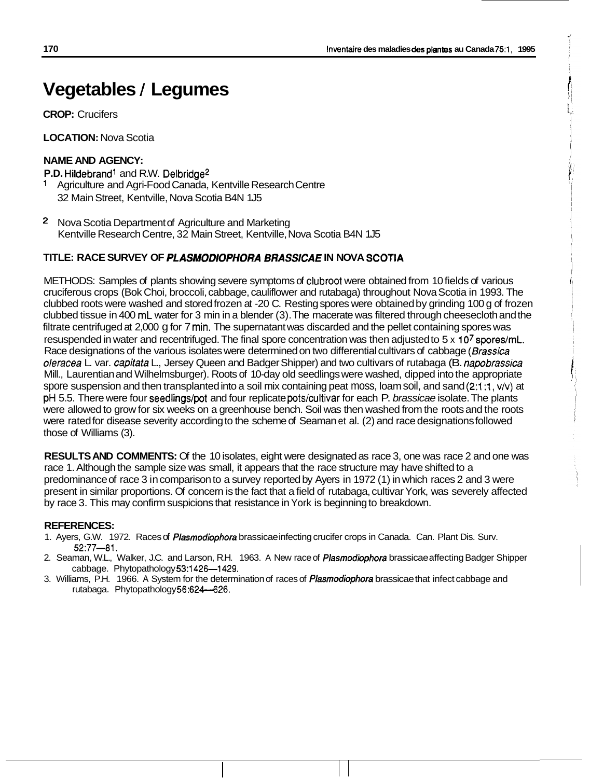# **Vegetables** / **Legumes**

**CROP:** Crucifers

**LOCATION:** Nova Scotia

# **NAME AND AGENCY:**

P.D. Hildebrand<sup>1</sup> and R.W. Delbridge<sup>2</sup>

- Agriculture and Agri-Food Canada, Kentville Research Centre 32 Main Street, Kentville, Nova Scotia B4N 1J5
- 2 Nova Scotia Department of Agriculture and Marketing Kentville Research Centre, 32 Main Street, Kentville, Nova Scotia B4N 1J5

# **TITLE: RACE SURVEY OF** *PLASMODlOPHORA BRASSlCAE* **IN NOVA SCOTIA**

METHODS: Samples of plants showing severe symptoms of clubroot were obtained from 10 fields of various cruciferous crops (Bok Choi, broccoli, cabbage, cauliflower and rutabaga) throughout Nova Scotia in 1993. The clubbed roots were washed and stored frozen at -20 C. Resting spores were obtained by grinding 100 g of frozen clubbed tissue in 400 mL water for 3 min in a blender (3). The macerate was filtered through cheesecloth and the filtrate centrifuged at 2,000 g for 7 min. The supernatant was discarded and the pellet containing spores was resuspended in water and recentrifuged. The final spore concentration was then adjusted to 5 x 10<sup>7</sup> spores/mL. Race designations of the various isolates were determined on two differential cultivars of cabbage *(Brassica oleracea* L. var. *capitata* L., Jersey Queen and Badger Shipper) and two cultivars of rutabaga (B. *napobrassica*  Mill., Laurentian and Wilhelmsburger). Roots of 1 0-day old seedlings were washed, dipped into the appropriate spore suspension and then transplanted into a soil mix containing peat moss, loam soil, and sand **(2:1:1,** vlv) at pH 5.5. There were four seedlings/pot and four replicate pots/cultivar for each P. *brassicae* isolate. The plants were allowed to grow for six weeks on a greenhouse bench. Soil was then washed from the roots and the roots were rated for disease severity according to the scheme of Seaman et al. (2) and race designations followed those of Williams (3).

**RESULTS AND COMMENTS:** Of the 10 isolates, eight were designated as race 3, one was race 2 and one was race 1. Although the sample size was small, it appears that the race structure may have shifted to a predominance of race 3 in comparison to a survey reported by Ayers in 1972 (1) in which races 2 and 3 were present in similar proportions. Of concern is the fact that a field of rutabaga, cultivar York, was severely affected by race 3. This may confirm suspicions that resistance in York is beginning to breakdown.

## **REFERENCES:**

- 1. Ayers, G.W. 1972. Races of *Plasmodiophora* brassicae infecting crucifer crops in Canada. Can. Plant Dis. Surv. 52:77-81.
- 2. Seaman, W.L., Walker, J.C. and Larson, R.H. 1963. A New race of *Plasmodbpbora* brassicae affecting Badger Shipper cabbage. Phytopathology 53:1426-1429.
- 3. Williams, P.H. 1966. A System for the determination of races of *Plasmodiophora* brassicae that infect cabbage and rutabaga. Phytopathology 56:624-626.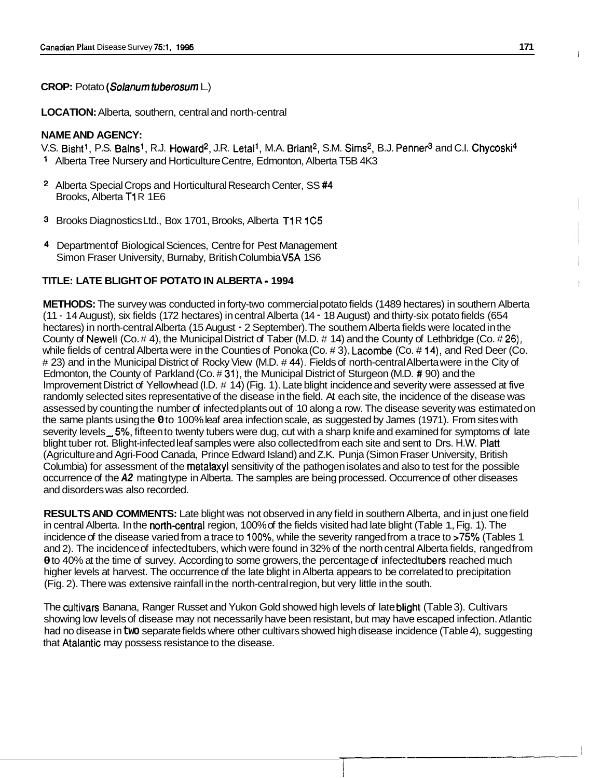## **CROP:** Potato *(Solanurn tuberosurn* L.)

**LOCATION:** Alberta, southern, central and north-central

# **NAME AND AGENCY:**

V.S. Bisht<sup>1</sup>, P.S. Bains<sup>1</sup>, R.J. Howard<sup>2</sup>, J.R. Letal<sup>1</sup>, M.A. Briant<sup>2</sup>, S.M. Sims<sup>2</sup>, B.J. Penner<sup>3</sup> and C.I. Chycoski<sup>4</sup> Alberta Tree Nursery and Horticulture Centre, Edmonton, Alberta T5B 4K3

- <sup>2</sup> Alberta Special Crops and Horticultural Research Center, SS#4 Brooks, Alberta T1R 1E6
- <sup>3</sup> Brooks Diagnostics Ltd., Box 1701, Brooks, Alberta T1R 1C5
- 4 Department of Biological Sciences, Centre for Pest Management Simon Fraser University, Burnaby, British Columbia V5A 1S6

#### **TITLE: LATE BLIGHT OF POTATO IN ALBERTA** - **1994**

**METHODS:** The survey was conducted in forty-two commercial potato fields (1489 hectares) in southern Alberta (1 1 - 14 August), six fields (1 72 hectares) in central Alberta (1 4 - 18 August) and thirty-six potato fields (654 hectares) in north-central Alberta (15 August - 2 September). The southern Alberta fields were located in the County of Newell (Co. # 4), the Municipal District of Taber (M.D. # 14) and the County of Lethbridge (Co. # 26), while fields of central Alberta were in the Counties of Ponoka (Co. # 3), Lacombe (Co. # 14), and Red Deer (Co. # 23) and in the Municipal District of Rocky View (M.D. # **44).** Fields of north-central Alberta were in the City of Edmonton, the County of Parkland (Co. # 31), the Municipal District of Sturgeon (M.D. # 90) and the Improvement District of Yellowhead (I.D. # 14) (Fig. 1). Late blight incidence and severity were assessed at five randomly selected sites representative of the disease in the field. At each site, the incidence of the disease was assessed by counting the number of infected plants out of 10 along a row. The disease severity was estimated on the same plants using the **0** to 100% leaf area infection scale, as suggested by James (1 971). From sites with severity levels 5%, fifteen to twenty tubers were dug, cut with a sharp knife and examined for symptoms of late blight tuber rot. Blight-infected leaf samples were also collected from each site and sent to Drs. H.W. Platt (Agriculture and Agri-Food Canada, Prince Edward Island) and Z.K. Punja (Simon Fraser University, British Columbia) for assessment of the metalaxyl sensitivity of the pathogen isolates and also to test for the possible occurrence of the *A2* mating type in Alberta. The samples are being processed. Occurrence of other diseases and disorders was also recorded.

**RESULTS AND COMMENTS:** Late blight was not observed in any field in southern Alberta, and in just one field in central Alberta. In the north-central region, 100% of the fields visited had late blight (Table 1, Fig. 1). The incidence of the disease varied from a trace to 100%, while the severity ranged from a trace to >75% (Tables 1 and 2). The incidence of infected tubers, which were found in 32% of the north central Alberta fields, ranged from **0** to 40% at the time of survey. According to some growers, the percentage of infected tubers reached much higher levels at harvest. The occurrence of the late blight in Alberta appears to be correlated to precipitation (Fig. 2). There was extensive rainfall in the north-central region, but very little in the south.

The cultivars Banana, Ranger Russet and Yukon Gold showed high levels of late blight (Table 3). Cultivars showing low levels of disease may not necessarily have been resistant, but may have escaped infection. Atlantic had no disease in **two** separate fields where other cultivars showed high disease incidence (Table 4), suggesting that Atalantic may possess resistance to the disease.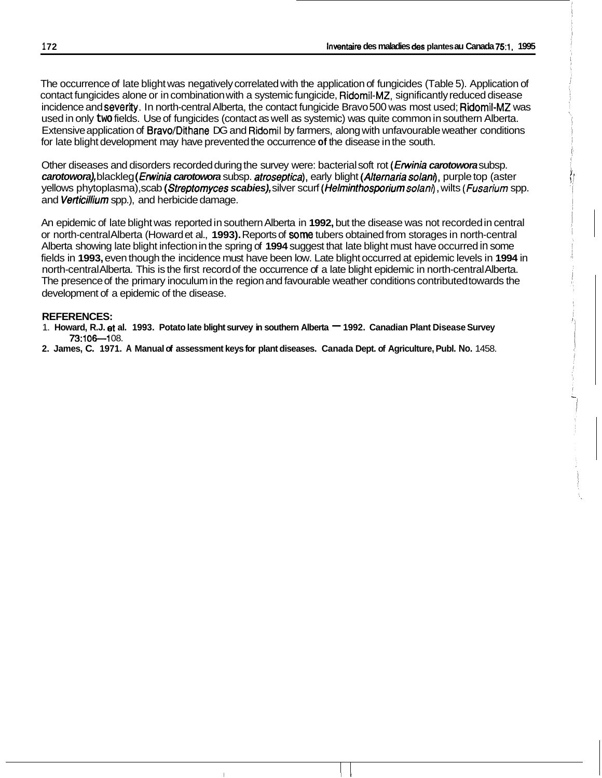The occurrence of late blight was negatively correlated with the application of fungicides (Table 5). Application of contact fungicides alone or in combination with a systemic fungicide, Ridomil-MZ, significantly reduced disease incidence and severity. In north-central Alberta, the contact fungicide Bravo 500 was most used; Ridomil-MZ was used in only **two** fields. Use of fungicides (contact as well as systemic) was quite common in southern Alberta. Extensive application of Bravo/Dithane DG and Ridomil by farmers, along with unfavourable weather conditions for late blight development may have prevented the occurrence **of** the disease in the south.

Other diseases and disorders recorded during the survey were: bacterial soft rot *(frwinia carotowora* subsp. *carotowora),* blackleg *(Erwinia carotowora* subsp. *atroseptica),* early blight *(Alternaria solano,* purple top (aster yellows phytoplasma), scab *(Streptomyces scabies),* silver scurf *(Helminthosporium solani)* , wilts *(Fusarium* spp. and *Verticillium* spp.), and herbicide damage.

An epidemic of late blight was reported in southern Alberta in **1992,** but the disease was not recorded in central or north-central Alberta (Howard et al., **1993).** Reports of **some** tubers obtained from storages in north-central Alberta showing late blight infection in the spring of **1994** suggest that late blight must have occurred in some fields in **1993,** even though the incidence must have been low. Late blight occurred at epidemic levels in **1994** in north-central Alberta. This is the first record of the occurrence of a late blight epidemic in north-central Alberta. The presence of the primary inoculum in the region and favourable weather conditions contributed towards the development of a epidemic of the disease.

## **REFERENCES:**

- 1. Howard, R.J. et al. 1993. Potato late blight survey in southern Alberta <sup>-</sup> 1992. Canadian Plant Disease Survey **73:106-108.**
- **2. James, C. 1971. A Manual of assessment keys for plant diseases. Canada Dept. of Agriculture, Publ. No.** 1458.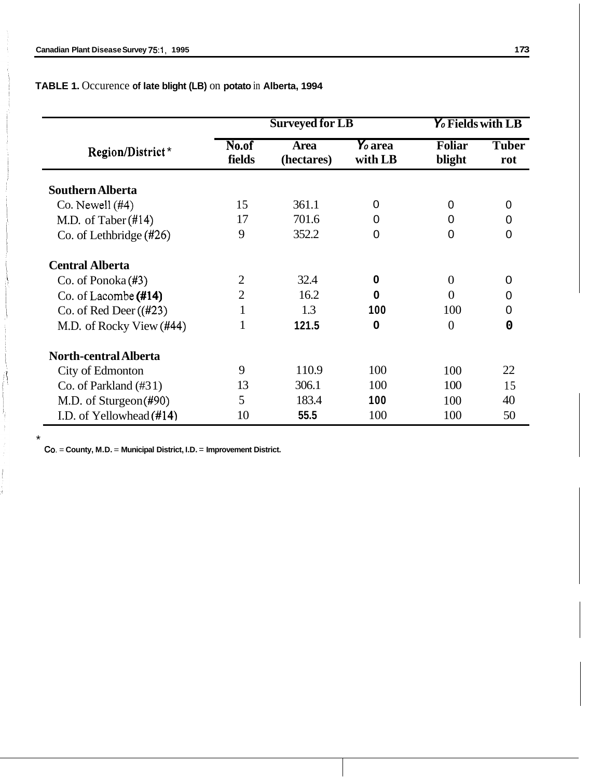**TABLE 1.** Occurence **of late blight (LB)** on **potato** in **Alberta, 1994** 

|                                   | <b>Surveyed for LB</b> |                           |                                | Y <sub>o</sub> Fields with LB |                     |  |
|-----------------------------------|------------------------|---------------------------|--------------------------------|-------------------------------|---------------------|--|
| Region/District*                  | No.of<br>fields        | <b>Area</b><br>(hectares) | $\mathbf{Y}_o$ area<br>with LB | <b>Foliar</b><br>blight       | <b>Tuber</b><br>rot |  |
| <b>Southern Alberta</b>           |                        |                           |                                |                               |                     |  |
| $Co.$ Newell $(#4)$               | 15                     | 361.1                     | 0                              | 0                             | 0                   |  |
| M.D. of Taber $(\text{\#}14)$     | 17                     | 701.6                     | 0                              | 0                             | 0                   |  |
| Co. of Lethbridge $(\text{\#26})$ | 9                      | 352.2                     | 0                              | $\overline{0}$                | $\Omega$            |  |
| <b>Central Alberta</b>            |                        |                           |                                |                               |                     |  |
| Co. of Ponoka $(\#3)$             | $\overline{2}$         | 32.4                      | 0                              | $\overline{0}$                | 0                   |  |
| Co. of Lacombe $(#14)$            | $\overline{2}$         | 16.2                      | 0                              | $\Omega$                      | 0                   |  |
| Co. of Red Deer $((#23)$          |                        | 1.3                       | 100                            | 100                           | 0                   |  |
| M.D. of Rocky View (#44)          | 1                      | 121.5                     | 0                              | 0                             | 0                   |  |
| <b>North-central Alberta</b>      |                        |                           |                                |                               |                     |  |
| City of Edmonton                  | 9                      | 110.9                     | 100                            | 100                           | 22                  |  |
| Co. of Parkland $(\#31)$          | 13                     | 306.1                     | 100                            | 100                           | 15                  |  |
| M.D. of Sturgeon(#90)             | 5                      | 183.4                     | 100                            | 100                           | 40                  |  |
| I.D. of Yellowhead (#14)          | 10                     | 55.5                      | 100                            | 100                           | 50                  |  |

**Co.** = **County, M.D.** = **Municipal District, I.D.** = **Improvement District.** 

\*

jŢ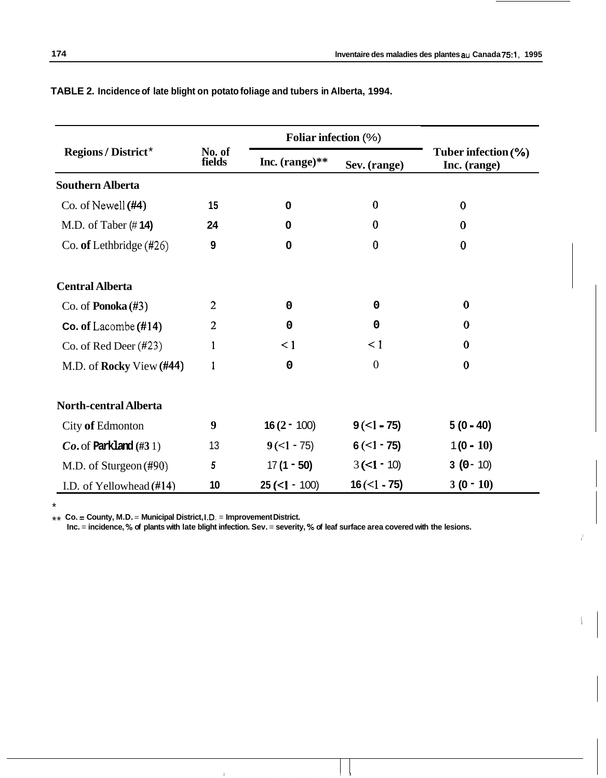|                                |                  | Foliar infection (%) |                    |                                        |  |
|--------------------------------|------------------|----------------------|--------------------|----------------------------------------|--|
| <b>Regions / District*</b>     | No. of<br>fields | Inc. $(range)$ **    | Sev. (range)       | Tuber infection $(\%)$<br>Inc. (range) |  |
| <b>Southern Alberta</b>        |                  |                      |                    |                                        |  |
| Co. of Newell $(#4)$           | 15               | $\bf{0}$             | $\bf{0}$           | $\bf{0}$                               |  |
| M.D. of Taber $(\# 14)$        | 24               | $\bf{0}$             | $\bf{0}$           | $\bf{0}$                               |  |
| Co. of Lethbridge $(\#26)$     | 9                | $\bf{0}$             | $\bf{0}$           | $\bf{0}$                               |  |
| <b>Central Alberta</b>         |                  |                      |                    |                                        |  |
| Co. of <b>Ponoka</b> $(#3)$    | 2                | $\mathbf 0$          | 0                  | $\bf{0}$                               |  |
| Co. of Lacombe $(\text{\#}14)$ | $\overline{2}$   | $\mathbf 0$          | $\mathbf 0$        | $\bf{0}$                               |  |
| Co. of Red Deer $(\#23)$       | 1                | $\leq 1$             | $\leq 1$           | $\bf{0}$                               |  |
| M.D. of Rocky View (#44)       | 1                | $\mathbf 0$          | $\overline{0}$     | $\bf{0}$                               |  |
| <b>North-central Alberta</b>   |                  |                      |                    |                                        |  |
| City of Edmonton               | 9                | $16(2 - 100)$        | $9(-1 - 75)$       | $5(0 - 40)$                            |  |
| $Co.$ of Parkland $(\#31)$     | 13               | $9(-1 - 75)$         | $6(-1 - 75)$       | $1(0 - 10)$                            |  |
| M.D. of Sturgeon (#90)         | 5                | $17(1 - 50)$         | $3(-1 - 10)$       | $3(0 - 10)$                            |  |
| I.D. of Yellowhead (#14)       | 10               | $25 (<1 - 100)$      | $16 \times 1 - 75$ | $3(0 - 10)$                            |  |

**TABLE 2. Incidence of late blight on potato foliage and tubers in Alberta, 1994.** 

\* \*\* **Co.** = **County, M.D.** = **Municipal District, I.D.** = **Improvement District.** 

**Inc.** = **incidence,** % **of plants with late blight infection. Sev.** = **severity,** % **of leaf surface area covered with the lesions.**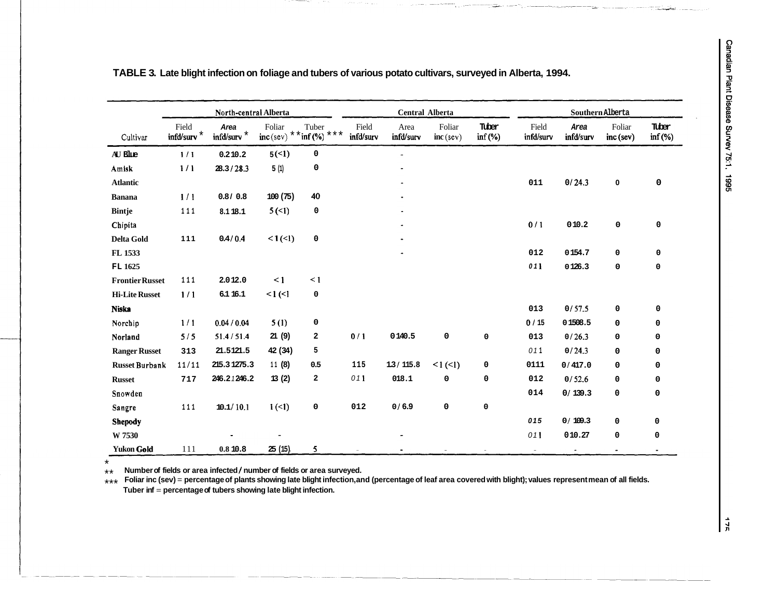ta.

|                        | North-central Alberta |                                   |                       | Central Alberta              |                    |                   | Southern Alberta      |                    |                    |                   |                       |                       |
|------------------------|-----------------------|-----------------------------------|-----------------------|------------------------------|--------------------|-------------------|-----------------------|--------------------|--------------------|-------------------|-----------------------|-----------------------|
| Cultivar               | Field<br>infd/surv    | Area<br>$\mbox{ind/surv}^{\star}$ | Foliar<br>$inc$ (sev) | Tuber<br>* * inf $(*)$ * * * | Field<br>infd/surv | Area<br>infd/surv | Foliar<br>$inc$ (sev) | Tuber<br>$inf(\%)$ | Field<br>infd/surv | Area<br>infd/surv | Foliar<br>$inc$ (sev) | Tuber<br>$inf($ % $)$ |
| AU Blue                | 1/1                   | 0.210.2                           | 5(5)                  | 0                            |                    |                   |                       |                    |                    |                   |                       |                       |
| Amisk                  | 1/1                   | 28.3 / 28.3                       | 5(1)                  | 0                            |                    |                   |                       |                    |                    |                   |                       |                       |
| <b>Atlantic</b>        |                       |                                   |                       |                              |                    |                   |                       |                    | 011                | 0/24.3            | $\mathbf 0$           | 0                     |
| <b>Banana</b>          | 1/1                   | 0.810.8                           | 100(75)               | 40                           |                    |                   |                       |                    |                    |                   |                       |                       |
| <b>Bintje</b>          | 111                   | 8.118.1                           | 5(1)                  | 0                            |                    |                   |                       |                    |                    |                   |                       |                       |
| Chipita                |                       |                                   |                       |                              |                    |                   |                       |                    | 0/1                | 010.2             | 0                     | 0                     |
| Delta Gold             | 111                   | 0.4 / 0.4                         | <1(1)                 | 0                            |                    |                   |                       |                    |                    |                   |                       |                       |
| FL 1533                |                       |                                   |                       |                              |                    |                   |                       |                    | 012                | 0154.7            | 0                     | 0                     |
| FL 1625                |                       |                                   |                       |                              |                    |                   |                       |                    | 011                | 0126.3            | 0                     | 0                     |
| <b>Frontier Russet</b> | 111                   | 2.012.0                           | $\leq$ 1              | $\leq 1$                     |                    |                   |                       |                    |                    |                   |                       |                       |
| <b>Hi-Lite Russet</b>  | 1/1                   | 6.1 16.1                          | $\leq$ $($ $\leq$ $)$ | 0                            |                    |                   |                       |                    |                    |                   |                       |                       |
| <b>Niska</b>           |                       |                                   |                       |                              |                    |                   |                       |                    | 013                | 0/57.5            | 0                     | 0                     |
| Norchip                | 1/1                   | 0.04 / 0.04                       | 5(1)                  | 0                            |                    |                   |                       |                    | 0/15               | 01508.5           | 0                     | 0                     |
| Norland                | 5/5                   | 51.4/51.4                         | 21(9)                 | 2                            | 0/1                | 0140.5            | 0                     | 0                  | 013                | 0/26.3            | 0                     | 0                     |
| <b>Ranger Russet</b>   | 313                   | 21.5121.5                         | 42 (34)               | 5                            |                    |                   |                       |                    | 011                | 0/24.3            | 0                     | $\mathbf 0$           |
| <b>Russet Burbank</b>  | 11/11                 | 215.31275.3                       | 11(8)                 | 0.5                          | 115                | 1.3/115.8         | 1(1)                  | 0                  | 0111               | 0/417.0           | 0                     | $\mathbf 0$           |
| <b>Russet</b>          | 717                   | 246.21246.2                       | 13(2)                 | 2                            | 011                | 018.1             | 0                     | 0                  | 012                | 0/52.6            | 0                     | 0                     |
| Snowden                |                       |                                   |                       |                              |                    |                   |                       |                    | 014                | 0/139.3           | 0                     | 0                     |
| Sangre                 | 111                   | 10.1/10.1                         | 1(1)                  | 0                            | 012                | 0/6.9             | 0                     | 0                  |                    |                   |                       |                       |
| Shepody                |                       |                                   |                       |                              |                    |                   |                       |                    | 015                | 0/109.3           | 0                     | 0                     |
| W 7530                 |                       |                                   |                       |                              |                    |                   |                       |                    | 011                | 010.27            | 0                     | 0                     |
| <b>Yukon Gold</b>      | 111                   | 0.8 10.8                          | 25(15)                | 5                            |                    |                   |                       |                    | $\sim$             | $\sim$            |                       |                       |

**TABLE 3. Late blight infection on foliage and tubers of various potato cultivars, surveyed in Alberta, 1994.** 

\* **Number of fields or area infected** *I* **number of fields or area surveyed.** 

**Foliar inc (sev)** = **percentage of plants showing late blight infection, and (percentage of leaf area covered with blight); values represent mean of all fields. Tuber inf** = **percentage of tubers showing late blight infection.**  \*\* \*\*\*

 $\frac{1}{2}$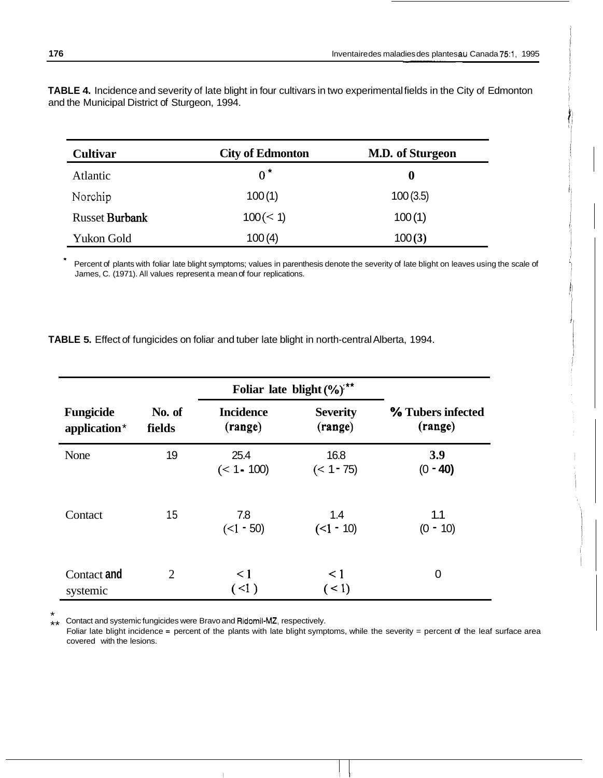**TABLE 4.** Incidence and severity of late blight in four cultivars in two experimental fields in the City of Edmonton and the Municipal District of Sturgeon, 1994.

| <b>Cultivar</b>       | <b>City of Edmonton</b> | M.D. of Sturgeon |  |  |
|-----------------------|-------------------------|------------------|--|--|
| Atlantic              | $0^{\star}$             | 0                |  |  |
| Norchip               | 100(1)                  | 100(3.5)         |  |  |
| <b>Russet Burbank</b> | $100 \, (< 1)$          | 100(1)           |  |  |
| Yukon Gold            | 100(4)                  | 100(3)           |  |  |

Percent of plants with foliar late blight symptoms; values in parenthesis denote the severity of late blight on leaves using the scale of James, C. (1971). All values represent a mean of four replications.

**TABLE 5.** Effect of fungicides on foliar and tuber late blight in north-central Alberta, 1994.

|                                  |                  | Foliar late blight (%) <sup>***</sup> |                            |                              |  |
|----------------------------------|------------------|---------------------------------------|----------------------------|------------------------------|--|
| <b>Fungicide</b><br>application* | No. of<br>fields | <b>Incidence</b><br>(range)           | <b>Severity</b><br>(range) | % Tubers infected<br>(range) |  |
| None                             | 19               | 25.4<br>$(< 1 - 100)$                 | 16.8<br>$(< 1 - 75)$       | 3.9<br>$(0 - 40)$            |  |
| Contact                          | 15               | 7.8<br>$(<1 - 50)$                    | 1.4<br>$(<1 - 10)$         | 1.1<br>$(0 - 10)$            |  |
| Contact and<br>systemic          | $\overline{2}$   | $\leq$ 1<br>$($ <1 $)$                | $\leq 1$<br>(< 1)          | $\overline{0}$               |  |

\* Contact and systemic fungicides were Bravo and Ridomil-MZ, respectively. \*\*

Foliar late blight incidence = percent of the plants with late blight symptoms, while the severity = percent of the leaf surface area covered with the lesions.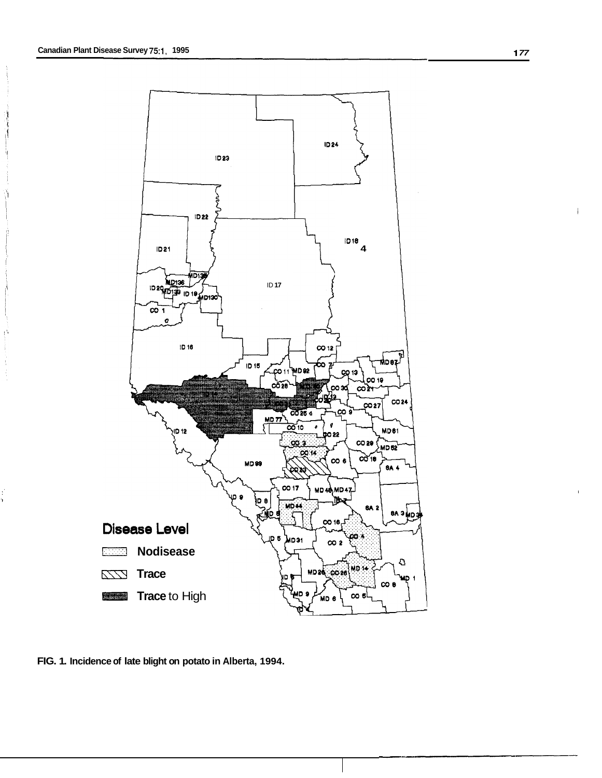

**FIG. 1. Incidence of late blight on potato in Alberta, 1994.** 

I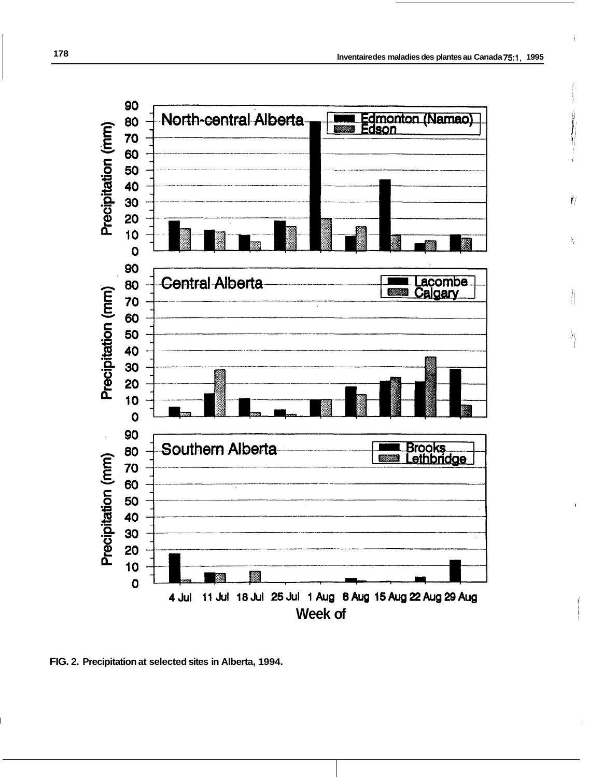Ìſ.

ķ,

Ą

Â



**FIG. 2. Precipitation at selected sites in Alberta, 1994.**